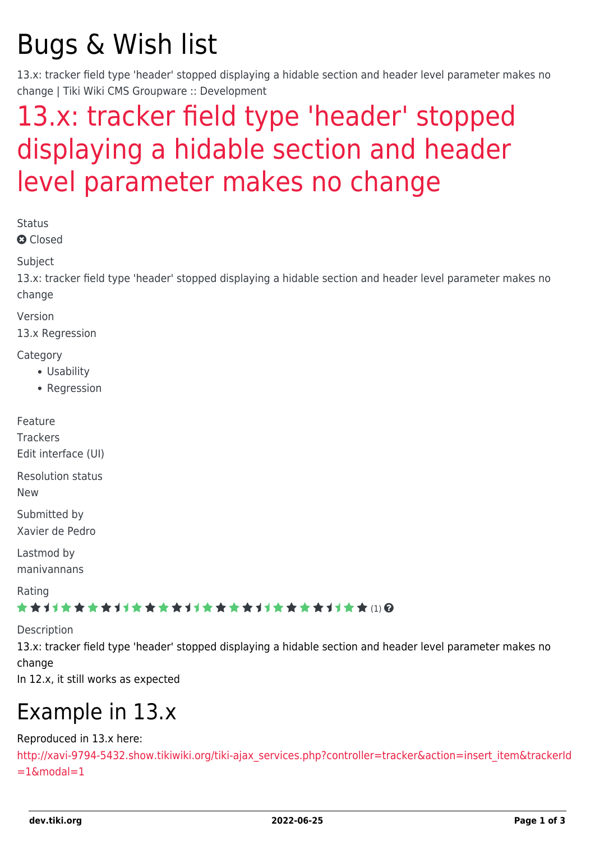# Bugs & Wish list

13.x: tracker field type 'header' stopped displaying a hidable section and header level parameter makes no change | Tiki Wiki CMS Groupware :: Development

## [13.x: tracker field type 'header' stopped](https://dev.tiki.org/item5432-13-x-tracker-field-type-header-stopped-displaying-a-hidable-section-and-header-level-parameter-makes-no-change) [displaying a hidable section and header](https://dev.tiki.org/item5432-13-x-tracker-field-type-header-stopped-displaying-a-hidable-section-and-header-level-parameter-makes-no-change) [level parameter makes no change](https://dev.tiki.org/item5432-13-x-tracker-field-type-header-stopped-displaying-a-hidable-section-and-header-level-parameter-makes-no-change)

Status

**a** Closed

Subject

13.x: tracker field type 'header' stopped displaying a hidable section and header level parameter makes no change

Version

13.x Regression

**Category** 

- Usability
- Regression

Feature Trackers Edit interface (UI)

Resolution status

New

Submitted by Xavier de Pedro

Lastmod by manivannans

Rating

\*\*\*\*\*\*\*\*\*\*\*\*\*\*\*\*\*\*\*\*\*\*\*\*\*\*\*\*\*\*

Description

13.x: tracker field type 'header' stopped displaying a hidable section and header level parameter makes no change

In 12.x, it still works as expected

## Example in 13.x

#### Reproduced in 13.x here:

[http://xavi-9794-5432.show.tikiwiki.org/tiki-ajax\\_services.php?controller=tracker&action=insert\\_item&trackerId](http://xavi-9794-5432.show.tikiwiki.org/tiki-ajax_services.php?controller=tracker&action=insert_item&trackerId=1&modal=1)  $=1$ &modal=1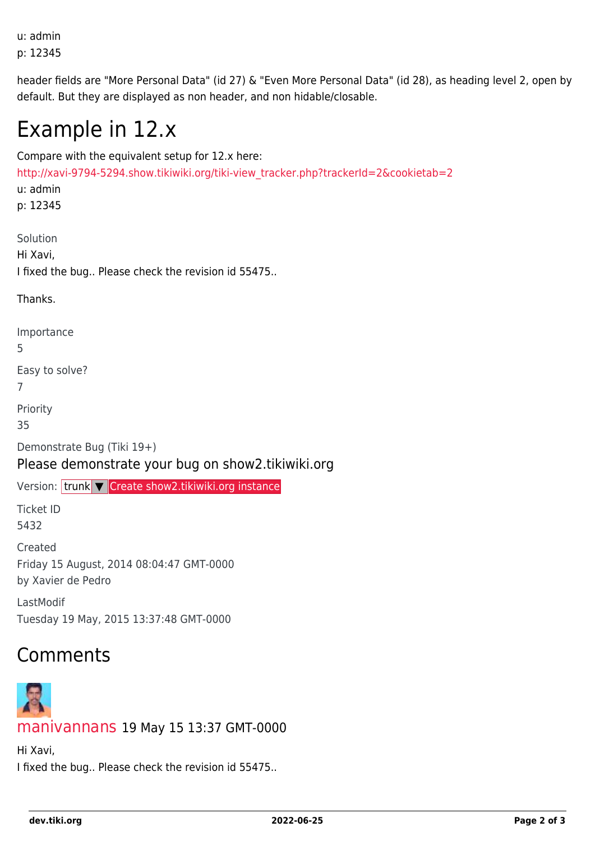u: admin p: 12345

header fields are "More Personal Data" (id 27) & "Even More Personal Data" (id 28), as heading level 2, open by default. But they are displayed as non header, and non hidable/closable.

### Example in 12.x

Compare with the equivalent setup for 12.x here: [http://xavi-9794-5294.show.tikiwiki.org/tiki-view\\_tracker.php?trackerId=2&cookietab=2](http://xavi-9794-5294.show.tikiwiki.org/tiki-view_tracker.php?trackerId=2&cookietab=2) u: admin p: 12345 Solution Hi Xavi, I fixed the bug.. Please check the revision id 55475.. Thanks. Importance 5 Easy to solve? 7 Priority 35 Demonstrate Bug (Tiki 19+) Please demonstrate your bug on show2.tikiwiki.org Version: trunk ▼ [Create show2.tikiwiki.org instance](#page--1-0) Ticket ID 5432 Created Friday 15 August, 2014 08:04:47 GMT-0000 by Xavier de Pedro LastModif Tuesday 19 May, 2015 13:37:48 GMT-0000 Comments



[manivannans](https://dev.tiki.org/user11621) 19 May 15 13:37 GMT-0000

Hi Xavi, I fixed the bug.. Please check the revision id 55475..